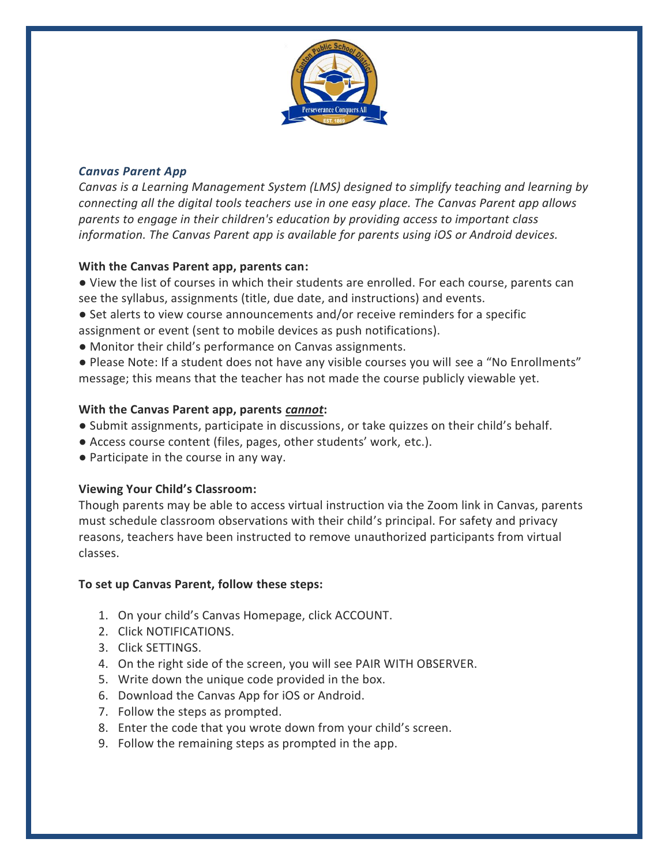

# *Canvas Parent App*

*Canvas is a Learning Management System (LMS) designed to simplify teaching and learning by connecting all the digital tools teachers use in one easy place. The Canvas Parent app allows parents to engage in their children's education by providing access to important class information. The Canvas Parent app is available for parents using iOS or Android devices.*

## **With the Canvas Parent app, parents can:**

● View the list of courses in which their students are enrolled. For each course, parents can see the syllabus, assignments (title, due date, and instructions) and events.

● Set alerts to view course announcements and/or receive reminders for a specific assignment or event (sent to mobile devices as push notifications).

● Monitor their child's performance on Canvas assignments.

● Please Note: If a student does not have any visible courses you will see a "No Enrollments" message; this means that the teacher has not made the course publicly viewable yet.

### **With the Canvas Parent app, parents** *cannot***:**

- Submit assignments, participate in discussions, or take quizzes on their child's behalf.
- Access course content (files, pages, other students' work, etc.).
- Participate in the course in any way.

## **Viewing Your Child's Classroom:**

Though parents may be able to access virtual instruction via the Zoom link in Canvas, parents must schedule classroom observations with their child's principal. For safety and privacy reasons, teachers have been instructed to remove unauthorized participants from virtual classes.

#### **To set up Canvas Parent, follow these steps:**

- 1. On your child's Canvas Homepage, click ACCOUNT.
- 2. Click NOTIFICATIONS.
- 3. Click SETTINGS.
- 4. On the right side of the screen, you will see PAIR WITH OBSERVER.
- 5. Write down the unique code provided in the box.
- 6. Download the Canvas App for iOS or Android.
- 7. Follow the steps as prompted.
- 8. Enter the code that you wrote down from your child's screen.
- 9. Follow the remaining steps as prompted in the app.